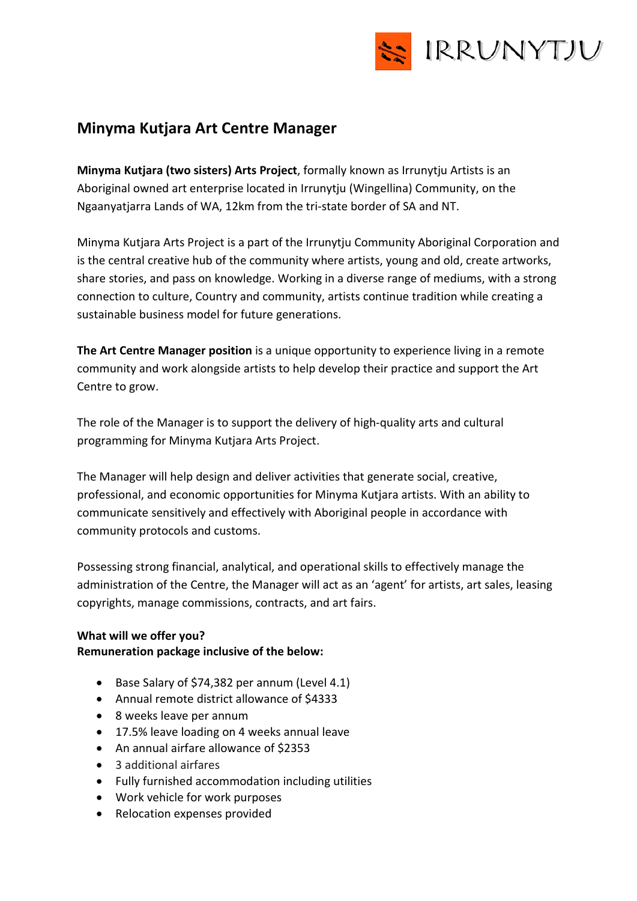

# **Minyma Kutjara Art Centre Manager**

**Minyma Kutjara (two sisters) Arts Project**, formally known as Irrunytju Artists is an Aboriginal owned art enterprise located in Irrunytju (Wingellina) Community, on the Ngaanyatjarra Lands of WA, 12km from the tri-state border of SA and NT.

Minyma Kutjara Arts Project is a part of the Irrunytju Community Aboriginal Corporation and is the central creative hub of the community where artists, young and old, create artworks, share stories, and pass on knowledge. Working in a diverse range of mediums, with a strong connection to culture, Country and community, artists continue tradition while creating a sustainable business model for future generations.

**The Art Centre Manager position** is a unique opportunity to experience living in a remote community and work alongside artists to help develop their practice and support the Art Centre to grow.

The role of the Manager is to support the delivery of high-quality arts and cultural programming for Minyma Kutjara Arts Project.

The Manager will help design and deliver activities that generate social, creative, professional, and economic opportunities for Minyma Kutjara artists. With an ability to communicate sensitively and effectively with Aboriginal people in accordance with community protocols and customs.

Possessing strong financial, analytical, and operational skills to effectively manage the administration of the Centre, the Manager will act as an 'agent' for artists, art sales, leasing copyrights, manage commissions, contracts, and art fairs.

### **What will we offer you?**

**Remuneration package inclusive of the below:** 

- Base Salary of \$74,382 per annum (Level 4.1)
- Annual remote district allowance of \$4333
- 8 weeks leave per annum
- 17.5% leave loading on 4 weeks annual leave
- An annual airfare allowance of \$2353
- 3 additional airfares
- Fully furnished accommodation including utilities
- Work vehicle for work purposes
- Relocation expenses provided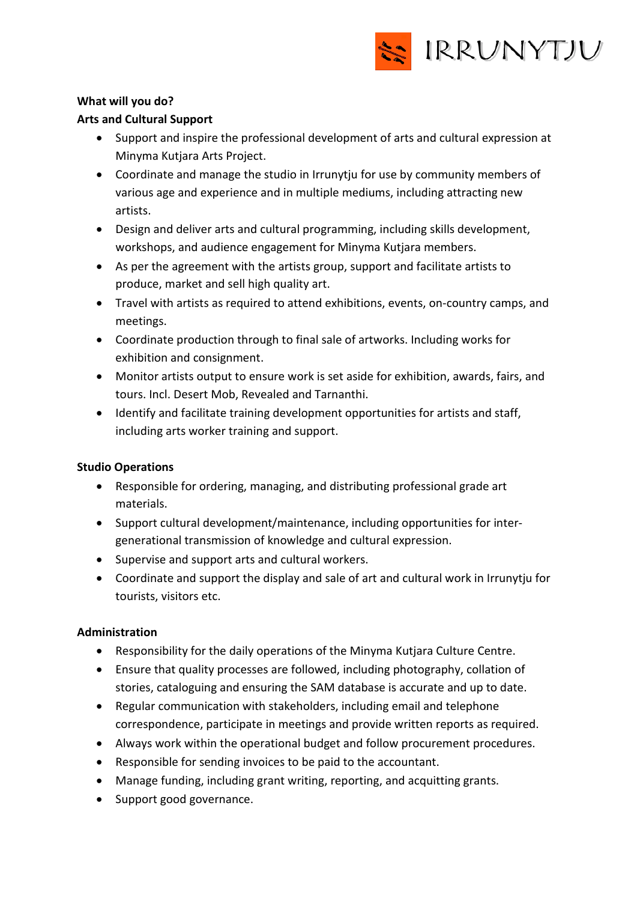

## **What will you do?**

## **Arts and Cultural Support**

- Support and inspire the professional development of arts and cultural expression at Minyma Kutjara Arts Project.
- Coordinate and manage the studio in Irrunytju for use by community members of various age and experience and in multiple mediums, including attracting new artists.
- Design and deliver arts and cultural programming, including skills development, workshops, and audience engagement for Minyma Kutjara members.
- As per the agreement with the artists group, support and facilitate artists to produce, market and sell high quality art.
- Travel with artists as required to attend exhibitions, events, on-country camps, and meetings.
- Coordinate production through to final sale of artworks. Including works for exhibition and consignment.
- Monitor artists output to ensure work is set aside for exhibition, awards, fairs, and tours. Incl. Desert Mob, Revealed and Tarnanthi.
- Identify and facilitate training development opportunities for artists and staff, including arts worker training and support.

### **Studio Operations**

- Responsible for ordering, managing, and distributing professional grade art materials.
- Support cultural development/maintenance, including opportunities for intergenerational transmission of knowledge and cultural expression.
- Supervise and support arts and cultural workers.
- Coordinate and support the display and sale of art and cultural work in Irrunytju for tourists, visitors etc.

### **Administration**

- Responsibility for the daily operations of the Minyma Kutjara Culture Centre.
- Ensure that quality processes are followed, including photography, collation of stories, cataloguing and ensuring the SAM database is accurate and up to date.
- Regular communication with stakeholders, including email and telephone correspondence, participate in meetings and provide written reports as required.
- Always work within the operational budget and follow procurement procedures.
- Responsible for sending invoices to be paid to the accountant.
- Manage funding, including grant writing, reporting, and acquitting grants.
- Support good governance.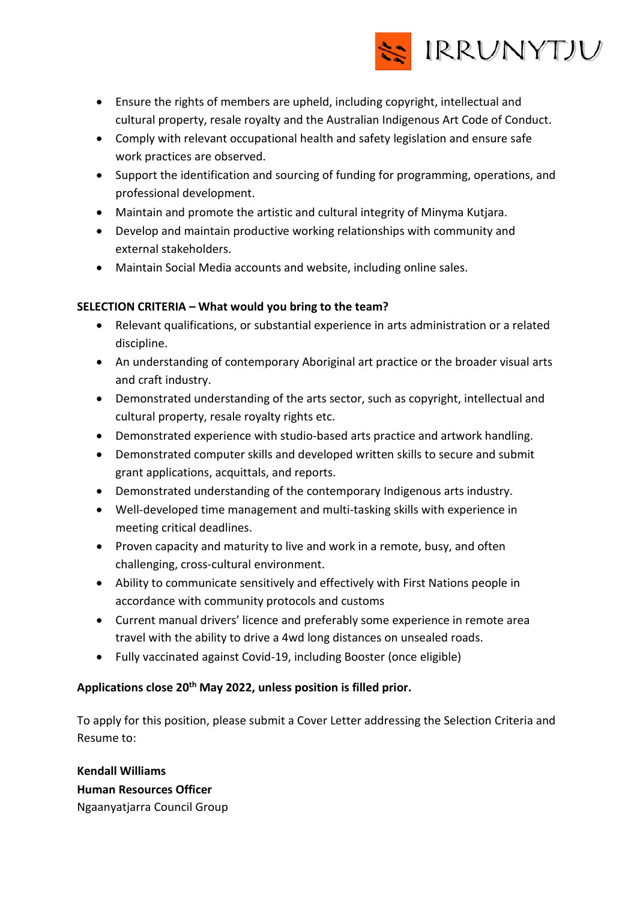

- Ensure the rights of members are upheld, including copyright, intellectual and cultural property, resale royalty and the Australian Indigenous Art Code of Conduct.
- Comply with relevant occupational health and safety legislation and ensure safe work practices are observed.
- Support the identification and sourcing of funding for programming, operations, and professional development.
- Maintain and promote the artistic and cultural integrity of Minyma Kutjara.
- Develop and maintain productive working relationships with community and external stakeholders.
- Maintain Social Media accounts and website, including online sales.

### **SELECTION CRITERIA – What would you bring to the team?**

- Relevant qualifications, or substantial experience in arts administration or a related discipline.
- An understanding of contemporary Aboriginal art practice or the broader visual arts and craft industry.
- Demonstrated understanding of the arts sector, such as copyright, intellectual and cultural property, resale royalty rights etc.
- Demonstrated experience with studio-based arts practice and artwork handling.
- Demonstrated computer skills and developed written skills to secure and submit grant applications, acquittals, and reports.
- Demonstrated understanding of the contemporary Indigenous arts industry.
- Well-developed time management and multi-tasking skills with experience in meeting critical deadlines.
- Proven capacity and maturity to live and work in a remote, busy, and often challenging, cross-cultural environment.
- Ability to communicate sensitively and effectively with First Nations people in accordance with community protocols and customs
- Current manual drivers' licence and preferably some experience in remote area travel with the ability to drive a 4wd long distances on unsealed roads.
- Fully vaccinated against Covid-19, including Booster (once eligible)

## **Applications close 20th May 2022, unless position is filled prior.**

To apply for this position, please submit a Cover Letter addressing the Selection Criteria and Resume to:

**Kendall Williams Human Resources Officer** Ngaanyatjarra Council Group